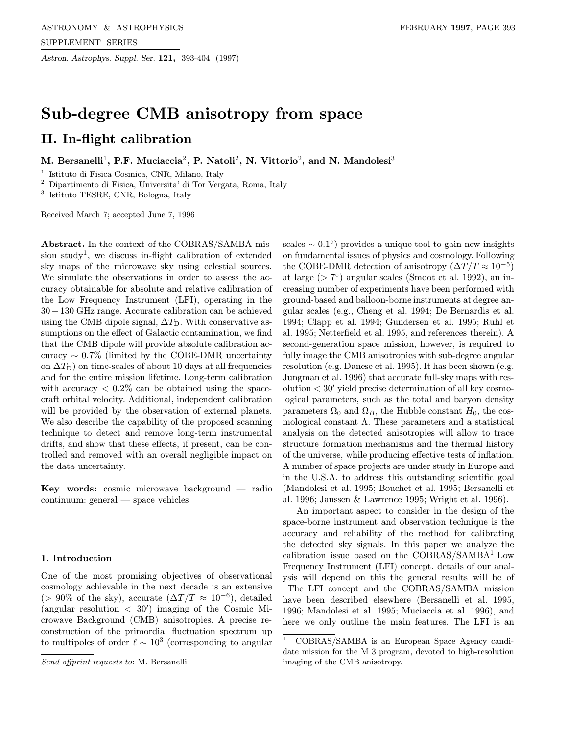Astron. Astrophys. Suppl. Ser. 121, 393-404 (1997)

# Sub-degree CMB anisotropy from space

# II. In-flight calibration

M. Bersanelli<sup>1</sup>, P.F. Muciaccia<sup>2</sup>, P. Natoli<sup>2</sup>, N. Vittorio<sup>2</sup>, and N. Mandolesi<sup>3</sup>

<sup>1</sup> Istituto di Fisica Cosmica, CNR, Milano, Italy

<sup>2</sup> Dipartimento di Fisica, Universita' di Tor Vergata, Roma, Italy

<sup>3</sup> Istituto TESRE, CNR, Bologna, Italy

Received March 7; accepted June 7, 1996

Abstract. In the context of the COBRAS/SAMBA mission study<sup>1</sup>, we discuss in-flight calibration of extended sky maps of the microwave sky using celestial sources. We simulate the observations in order to assess the accuracy obtainable for absolute and relative calibration of the Low Frequency Instrument (LFI), operating in the 30−130 GHz range. Accurate calibration can be achieved using the CMB dipole signal,  $\Delta T_{\rm D}$ . With conservative assumptions on the effect of Galactic contamination, we find that the CMB dipole will provide absolute calibration accuracy  $\sim 0.7\%$  (limited by the COBE-DMR uncertainty on  $\Delta T_D$ ) on time-scales of about 10 days at all frequencies and for the entire mission lifetime. Long-term calibration with accuracy  $\langle 0.2\% \rangle$  can be obtained using the spacecraft orbital velocity. Additional, independent calibration will be provided by the observation of external planets. We also describe the capability of the proposed scanning technique to detect and remove long-term instrumental drifts, and show that these effects, if present, can be controlled and removed with an overall negligible impact on the data uncertainty.

Key words: cosmic microwave background — radio continuum: general — space vehicles

# 1. Introduction

One of the most promising objectives of observational cosmology achievable in the next decade is an extensive (> 90% of the sky), accurate  $(\Delta T/T \approx 10^{-6})$ , detailed (angular resolution  $\langle 30' \rangle$  imaging of the Cosmic Microwave Background (CMB) anisotropies. A precise reconstruction of the primordial fluctuation spectrum up to multipoles of order  $\ell \sim 10^3$  (corresponding to angular

scales  $\sim 0.1^{\circ}$  provides a unique tool to gain new insights on fundamental issues of physics and cosmology. Following the COBE-DMR detection of anisotropy  $(\Delta T/T \approx 10^{-5})$ at large ( $> 7°$ ) angular scales (Smoot et al. 1992), an increasing number of experiments have been performed with ground-based and balloon-borne instruments at degree angular scales (e.g., Cheng et al. 1994; De Bernardis et al. 1994; Clapp et al. 1994; Gundersen et al. 1995; Ruhl et al. 1995; Netterfield et al. 1995, and references therein). A second-generation space mission, however, is required to fully image the CMB anisotropies with sub-degree angular resolution (e.g. Danese et al. 1995). It has been shown (e.g. Jungman et al. 1996) that accurate full-sky maps with resolution  $< 30'$  yield precise determination of all key cosmological parameters, such as the total and baryon density parameters  $\Omega_0$  and  $\Omega_B$ , the Hubble constant  $H_0$ , the cosmological constant  $\Lambda$ . These parameters and a statistical analysis on the detected anisotropies will allow to trace structure formation mechanisms and the thermal history of the universe, while producing effective tests of inflation. A number of space projects are under study in Europe and in the U.S.A. to address this outstanding scientific goal (Mandolesi et al. 1995; Bouchet et al. 1995; Bersanelli et al. 1996; Janssen & Lawrence 1995; Wright et al. 1996).

An important aspect to consider in the design of the space-borne instrument and observation technique is the accuracy and reliability of the method for calibrating the detected sky signals. In this paper we analyze the calibration issue based on the COBRAS/SAMBA<sup>1</sup> Low Frequency Instrument (LFI) concept. details of our analysis will depend on this the general results will be of The LFI concept and the COBRAS/SAMBA mission have been described elsewhere (Bersanelli et al. 1995, 1996; Mandolesi et al. 1995; Muciaccia et al. 1996), and here we only outline the main features. The LFI is an

Send offprint requests to: M. Bersanelli

<sup>1</sup> COBRAS/SAMBA is an European Space Agency candidate mission for the M 3 program, devoted to high-resolution imaging of the CMB anisotropy.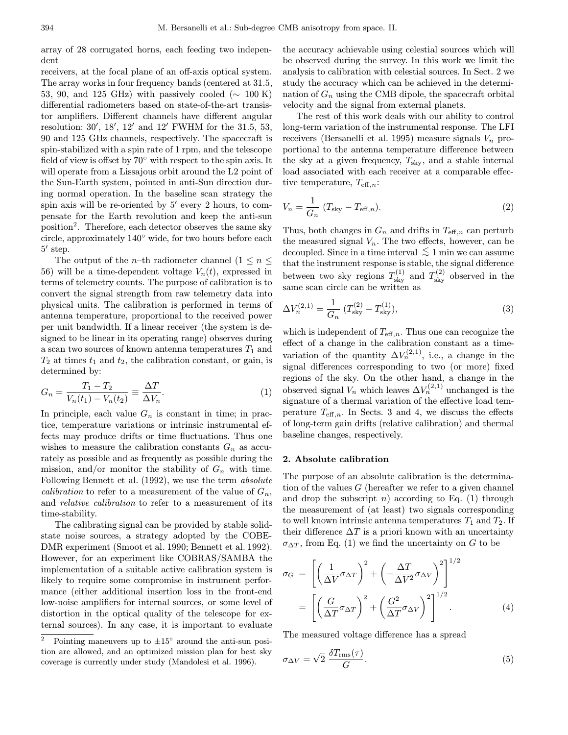array of 28 corrugated horns, each feeding two independent

receivers, at the focal plane of an off-axis optical system. The array works in four frequency bands (centered at 31.5, 53, 90, and 125 GHz) with passively cooled ( $\sim 100$  K) differential radiometers based on state-of-the-art transistor amplifiers. Different channels have different angular resolution:  $30', 18', 12'$  and  $12'$  FWHM for the 31.5, 53, 90 and 125 GHz channels, respectively. The spacecraft is spin-stabilized with a spin rate of 1 rpm, and the telescope field of view is offset by 70◦ with respect to the spin axis. It will operate from a Lissajous orbit around the L2 point of the Sun-Earth system, pointed in anti-Sun direction during normal operation. In the baseline scan strategy the spin axis will be re-oriented by  $5'$  every 2 hours, to compensate for the Earth revolution and keep the anti-sun position<sup>2</sup>. Therefore, each detector observes the same sky circle, approximately 140◦ wide, for two hours before each  $5'$  step.

The output of the *n*–th radiometer channel  $(1 \le n \le$ 56) will be a time-dependent voltage  $V_n(t)$ , expressed in terms of telemetry counts. The purpose of calibration is to convert the signal strength from raw telemetry data into physical units. The calibration is performed in terms of antenna temperature, proportional to the received power per unit bandwidth. If a linear receiver (the system is designed to be linear in its operating range) observes during a scan two sources of known antenna temperatures  $T_1$  and  $T_2$  at times  $t_1$  and  $t_2$ , the calibration constant, or gain, is determined by:

$$
G_n = \frac{T_1 - T_2}{V_n(t_1) - V_n(t_2)} \equiv \frac{\Delta T}{\Delta V_n}.
$$
\n(1)

In principle, each value  $G_n$  is constant in time; in practice, temperature variations or intrinsic instrumental effects may produce drifts or time fluctuations. Thus one wishes to measure the calibration constants  $G_n$  as accurately as possible and as frequently as possible during the mission, and/or monitor the stability of  $G_n$  with time. Following Bennett et al. (1992), we use the term absolute *calibration* to refer to a measurement of the value of  $G_n$ , and relative calibration to refer to a measurement of its time-stability.

The calibrating signal can be provided by stable solidstate noise sources, a strategy adopted by the COBE-DMR experiment (Smoot et al. 1990; Bennett et al. 1992). However, for an experiment like COBRAS/SAMBA the implementation of a suitable active calibration system is likely to require some compromise in instrument performance (either additional insertion loss in the front-end low-noise amplifiers for internal sources, or some level of distortion in the optical quality of the telescope for external sources). In any case, it is important to evaluate

the accuracy achievable using celestial sources which will be observed during the survey. In this work we limit the analysis to calibration with celestial sources. In Sect. 2 we study the accuracy which can be achieved in the determination of  $G_n$  using the CMB dipole, the spacecraft orbital velocity and the signal from external planets.

The rest of this work deals with our ability to control long-term variation of the instrumental response. The LFI receivers (Bersanelli et al. 1995) measure signals  $V_n$  proportional to the antenna temperature difference between the sky at a given frequency,  $T_{\text{sky}}$ , and a stable internal load associated with each receiver at a comparable effective temperature,  $T_{\text{eff},n}$ :

$$
V_n = \frac{1}{G_n} \left( T_{\text{sky}} - T_{\text{eff},n} \right). \tag{2}
$$

Thus, both changes in  $G_n$  and drifts in  $T_{\text{eff},n}$  can perturb the measured signal  $V_n$ . The two effects, however, can be decoupled. Since in a time interval  $\lesssim 1$  min we can assume that the instrument response is stable, the signal difference between two sky regions  $T_{\rm sky}^{(1)}$  and  $T_{\rm sky}^{(2)}$  observed in the same scan circle can be written as

$$
\Delta V_n^{(2,1)} = \frac{1}{G_n} \left( T_{\rm sky}^{(2)} - T_{\rm sky}^{(1)} \right),\tag{3}
$$

which is independent of  $T_{\text{eff},n}$ . Thus one can recognize the effect of a change in the calibration constant as a timevariation of the quantity  $\Delta V_n^{(2,1)}$ , i.e., a change in the signal differences corresponding to two (or more) fixed regions of the sky. On the other hand, a change in the observed signal  $V_n$  which leaves  $\Delta V_n^{(2,1)}$  unchanged is the signature of a thermal variation of the effective load temperature  $T_{\text{eff},n}$ . In Sects. 3 and 4, we discuss the effects of long-term gain drifts (relative calibration) and thermal baseline changes, respectively.

# 2. Absolute calibration

The purpose of an absolute calibration is the determination of the values  $G$  (hereafter we refer to a given channel and drop the subscript  $n$ ) according to Eq. (1) through the measurement of (at least) two signals corresponding to well known intrinsic antenna temperatures  $T_1$  and  $T_2$ . If their difference  $\Delta T$  is a priori known with an uncertainty  $\sigma_{\Delta T}$ , from Eq. (1) we find the uncertainty on G to be

$$
\sigma_G = \left[ \left( \frac{1}{\Delta V} \sigma_{\Delta T} \right)^2 + \left( -\frac{\Delta T}{\Delta V^2} \sigma_{\Delta V} \right)^2 \right]^{1/2}
$$

$$
= \left[ \left( \frac{G}{\Delta T} \sigma_{\Delta T} \right)^2 + \left( \frac{G^2}{\Delta T} \sigma_{\Delta V} \right)^2 \right]^{1/2} . \tag{4}
$$

The measured voltage difference has a spread

$$
\sigma_{\Delta V} = \sqrt{2} \frac{\delta T_{\rm rms}(\tau)}{G}.
$$
\n(5)

<sup>&</sup>lt;sup>2</sup> Pointing maneuvers up to  $\pm 15^\circ$  around the anti-sun position are allowed, and an optimized mission plan for best sky coverage is currently under study (Mandolesi et al. 1996).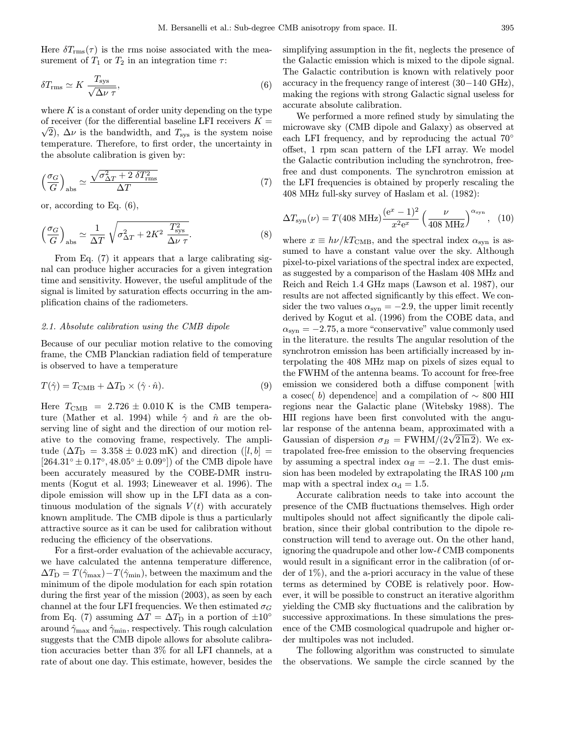Here  $\delta T_{\rm rms}(\tau)$  is the rms noise associated with the measurement of  $T_1$  or  $T_2$  in an integration time  $\tau$ :

$$
\delta T_{\rm rms} \simeq K \frac{T_{\rm sys}}{\sqrt{\Delta \nu \tau}},\tag{6}
$$

where  $K$  is a constant of order unity depending on the type of receiver (for the differential baseline LFI receivers  $K = \sqrt{2}$ )  $\sqrt{2}$ ,  $\Delta \nu$  is the bandwidth, and  $T_{sys}$  is the system noise temperature. Therefore, to first order, the uncertainty in the absolute calibration is given by:

$$
\left(\frac{\sigma_G}{G}\right)_{\text{abs}} \simeq \frac{\sqrt{\sigma_{\Delta T}^2 + 2 \ \delta T_{\text{rms}}^2}}{\Delta T} \tag{7}
$$

or, according to Eq. (6),

$$
\left(\frac{\sigma_G}{G}\right)_{\text{abs}} \simeq \frac{1}{\Delta T} \sqrt{\sigma_{\Delta T}^2 + 2K^2 \frac{T_{\text{sys}}^2}{\Delta \nu \tau}}.
$$
\n(8)

From Eq. (7) it appears that a large calibrating signal can produce higher accuracies for a given integration time and sensitivity. However, the useful amplitude of the signal is limited by saturation effects occurring in the amplification chains of the radiometers.

# 2.1. Absolute calibration using the CMB dipole

Because of our peculiar motion relative to the comoving frame, the CMB Planckian radiation field of temperature is observed to have a temperature

$$
T(\hat{\gamma}) = T_{\text{CMB}} + \Delta T_{\text{D}} \times (\hat{\gamma} \cdot \hat{n}). \tag{9}
$$

Here  $T_{\text{CMB}}$  = 2.726  $\pm$  0.010 K is the CMB temperature (Mather et al. 1994) while  $\hat{\gamma}$  and  $\hat{n}$  are the observing line of sight and the direction of our motion relative to the comoving frame, respectively. The amplitude  $(\Delta T_{\rm D} = 3.358 \pm 0.023 \text{ mK})$  and direction  $([l, b] =$  $[264.31° \pm 0.17°, 48.05° \pm 0.09°]$  of the CMB dipole have been accurately measured by the COBE-DMR instruments (Kogut et al. 1993; Lineweaver et al. 1996). The dipole emission will show up in the LFI data as a continuous modulation of the signals  $V(t)$  with accurately known amplitude. The CMB dipole is thus a particularly attractive source as it can be used for calibration without reducing the efficiency of the observations.

For a first-order evaluation of the achievable accuracy, we have calculated the antenna temperature difference,  $\Delta T_{\rm D} = T(\hat{\gamma}_{\rm max}) - T(\hat{\gamma}_{\rm min})$ , between the maximum and the minimum of the dipole modulation for each spin rotation during the first year of the mission (2003), as seen by each channel at the four LFI frequencies. We then estimated  $\sigma_G$ from Eq. (7) assuming  $\Delta T = \Delta T_D$  in a portion of  $\pm 10^{\circ}$ around  $\hat{\gamma}_{\text{max}}$  and  $\hat{\gamma}_{\text{min}}$ , respectively. This rough calculation suggests that the CMB dipole allows for absolute calibration accuracies better than 3% for all LFI channels, at a rate of about one day. This estimate, however, besides the

simplifying assumption in the fit, neglects the presence of the Galactic emission which is mixed to the dipole signal. The Galactic contribution is known with relatively poor accuracy in the frequency range of interest (30−140 GHz), making the regions with strong Galactic signal useless for accurate absolute calibration.

We performed a more refined study by simulating the microwave sky (CMB dipole and Galaxy) as observed at each LFI frequency, and by reproducing the actual 70<sup>°</sup> offset, 1 rpm scan pattern of the LFI array. We model the Galactic contribution including the synchrotron, freefree and dust components. The synchrotron emission at the LFI frequencies is obtained by properly rescaling the 408 MHz full-sky survey of Haslam et al. (1982):

$$
\Delta T_{\rm syn}(\nu) = T(408 \text{ MHz}) \frac{(e^x - 1)^2}{x^2 e^x} \left(\frac{\nu}{408 \text{ MHz}}\right)^{\alpha_{\rm syn}}, (10)
$$

where  $x \equiv h\nu/kT_{\text{CMB}}$ , and the spectral index  $\alpha_{\text{syn}}$  is assumed to have a constant value over the sky. Although pixel-to-pixel variations of the spectral index are expected, as suggested by a comparison of the Haslam 408 MHz and Reich and Reich 1.4 GHz maps (Lawson et al. 1987), our results are not affected significantly by this effect. We consider the two values  $\alpha_{syn} = -2.9$ , the upper limit recently derived by Kogut et al. (1996) from the COBE data, and  $\alpha_{syn} = -2.75$ , a more "conservative" value commonly used in the literature. the results The angular resolution of the synchrotron emission has been artificially increased by interpolating the 408 MHz map on pixels of sizes equal to the FWHM of the antenna beams. To account for free-free emission we considered both a diffuse component [with a cosec( b) dependence] and a compilation of  $\sim 800$  HII regions near the Galactic plane (Witebsky 1988). The HII regions have been first convoluted with the angular response of the antenna beam, approximated with a ar response of the antenna beam, approximated with a Gaussian of dispersion  $\sigma_B = \text{FWHM}/(2\sqrt{2 \ln 2})$ . We extrapolated free-free emission to the observing frequencies by assuming a spectral index  $\alpha_{\text{ff}} = -2.1$ . The dust emission has been modeled by extrapolating the IRAS 100  $\mu$ m map with a spectral index  $\alpha_d = 1.5$ .

Accurate calibration needs to take into account the presence of the CMB fluctuations themselves. High order multipoles should not affect significantly the dipole calibration, since their global contribution to the dipole reconstruction will tend to average out. On the other hand, ignoring the quadrupole and other low- $\ell$  CMB components would result in a significant error in the calibration (of order of  $1\%$ ), and the a-priori accuracy in the value of these terms as determined by COBE is relatively poor. However, it will be possible to construct an iterative algorithm yielding the CMB sky fluctuations and the calibration by successive approximations. In these simulations the presence of the CMB cosmological quadrupole and higher order multipoles was not included.

The following algorithm was constructed to simulate the observations. We sample the circle scanned by the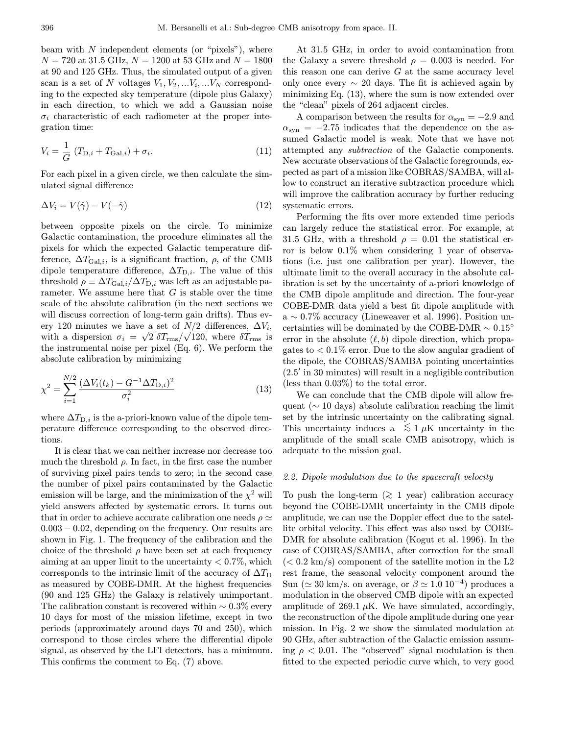beam with  $N$  independent elements (or "pixels"), where  $N = 720$  at 31.5 GHz,  $N = 1200$  at 53 GHz and  $N = 1800$ at 90 and 125 GHz. Thus, the simulated output of a given scan is a set of N voltages  $V_1, V_2, \ldots V_i, \ldots V_N$  corresponding to the expected sky temperature (dipole plus Galaxy) in each direction, to which we add a Gaussian noise  $\sigma_i$  characteristic of each radiometer at the proper integration time:

$$
V_i = \frac{1}{G} (T_{D,i} + T_{Gal,i}) + \sigma_i.
$$
 (11)

For each pixel in a given circle, we then calculate the simulated signal difference

$$
\Delta V_i = V(\hat{\gamma}) - V(-\hat{\gamma}) \tag{12}
$$

between opposite pixels on the circle. To minimize Galactic contamination, the procedure eliminates all the pixels for which the expected Galactic temperature difference,  $\Delta T_{\text{Gal},i}$ , is a significant fraction,  $\rho$ , of the CMB dipole temperature difference,  $\Delta T_{\text{D},i}$ . The value of this threshold  $\rho \equiv \Delta T_{\text{Gal},i}/\Delta T_{\text{D},i}$  was left as an adjustable parameter. We assume here that  $G$  is stable over the time scale of the absolute calibration (in the next sections we will discuss correction of long-term gain drifts). Thus every 120 minutes we have a set of  $N/2$  differences,  $\Delta V_i$ , ery 120 minutes we nave a set of  $N/Z$  differences,  $\Delta V_i$ ,<br>with a dispersion  $\sigma_i = \sqrt{2} \delta T_{\rm rms}/\sqrt{120}$ , where  $\delta T_{\rm rms}$  is the instrumental noise per pixel (Eq. 6). We perform the absolute calibration by minimizing

$$
\chi^2 = \sum_{i=1}^{N/2} \frac{(\Delta V_i(t_k) - G^{-1} \Delta T_{\text{D},i})^2}{\sigma_i^2} \tag{13}
$$

where  $\Delta T_{\text{D},i}$  is the a-priori-known value of the dipole temperature difference corresponding to the observed directions.

It is clear that we can neither increase nor decrease too much the threshold  $\rho$ . In fact, in the first case the number of surviving pixel pairs tends to zero; in the second case the number of pixel pairs contaminated by the Galactic emission will be large, and the minimization of the  $\chi^2$  will yield answers affected by systematic errors. It turns out that in order to achieve accurate calibration one needs  $\rho \simeq$ 0.003 − 0.02, depending on the frequency. Our results are shown in Fig. 1. The frequency of the calibration and the choice of the threshold  $\rho$  have been set at each frequency aiming at an upper limit to the uncertainty  $< 0.7\%$ , which corresponds to the intrinsic limit of the accuracy of  $\Delta T_{\rm D}$ as measured by COBE-DMR. At the highest frequencies (90 and 125 GHz) the Galaxy is relatively unimportant. The calibration constant is recovered within  $\sim 0.3\%$  every 10 days for most of the mission lifetime, except in two periods (approximately around days 70 and 250), which correspond to those circles where the differential dipole signal, as observed by the LFI detectors, has a minimum. This confirms the comment to Eq. (7) above.

At 31.5 GHz, in order to avoid contamination from the Galaxy a severe threshold  $\rho = 0.003$  is needed. For this reason one can derive  $G$  at the same accuracy level only once every  $\sim$  20 days. The fit is achieved again by minimizing Eq. (13), where the sum is now extended over the "clean" pixels of 264 adjacent circles.

A comparison between the results for  $\alpha_{syn} = -2.9$  and  $\alpha_{syn} = -2.75$  indicates that the dependence on the assumed Galactic model is weak. Note that we have not attempted any subtraction of the Galactic components. New accurate observations of the Galactic foregrounds, expected as part of a mission like COBRAS/SAMBA, will allow to construct an iterative subtraction procedure which will improve the calibration accuracy by further reducing systematic errors.

Performing the fits over more extended time periods can largely reduce the statistical error. For example, at 31.5 GHz, with a threshold  $\rho = 0.01$  the statistical error is below 0.1% when considering 1 year of observations (i.e. just one calibration per year). However, the ultimate limit to the overall accuracy in the absolute calibration is set by the uncertainty of a-priori knowledge of the CMB dipole amplitude and direction. The four-year COBE-DMR data yield a best fit dipole amplitude with a ∼ 0.7% accuracy (Lineweaver et al. 1996). Position uncertainties will be dominated by the COBE-DMR  $\sim 0.15^{\circ}$ error in the absolute  $(\ell, b)$  dipole direction, which propagates to  $\langle 0.1\%$  error. Due to the slow angular gradient of the dipole, the COBRAS/SAMBA pointing uncertainties  $(2.5'$  in 30 minutes) will result in a negligible contribution (less than 0.03%) to the total error.

We can conclude that the CMB dipole will allow frequent ( $\sim$  10 days) absolute calibration reaching the limit set by the intrinsic uncertainty on the calibrating signal. This uncertainty induces a  $\lesssim 1 \mu K$  uncertainty in the amplitude of the small scale CMB anisotropy, which is adequate to the mission goal.

## 2.2. Dipole modulation due to the spacecraft velocity

To push the long-term ( $\gtrsim 1$  year) calibration accuracy beyond the COBE-DMR uncertainty in the CMB dipole amplitude, we can use the Doppler effect due to the satellite orbital velocity. This effect was also used by COBE-DMR for absolute calibration (Kogut et al. 1996). In the case of COBRAS/SAMBA, after correction for the small  $(< 0.2 \text{ km/s})$  component of the satellite motion in the L2 rest frame, the seasonal velocity component around the Sun ( $\simeq 30$  km/s. on average, or  $\beta \simeq 1.0 \, 10^{-4}$ ) produces a modulation in the observed CMB dipole with an expected amplitude of 269.1  $\mu$ K. We have simulated, accordingly, the reconstruction of the dipole amplitude during one year mission. In Fig. 2 we show the simulated modulation at 90 GHz, after subtraction of the Galactic emission assuming  $\rho < 0.01$ . The "observed" signal modulation is then fitted to the expected periodic curve which, to very good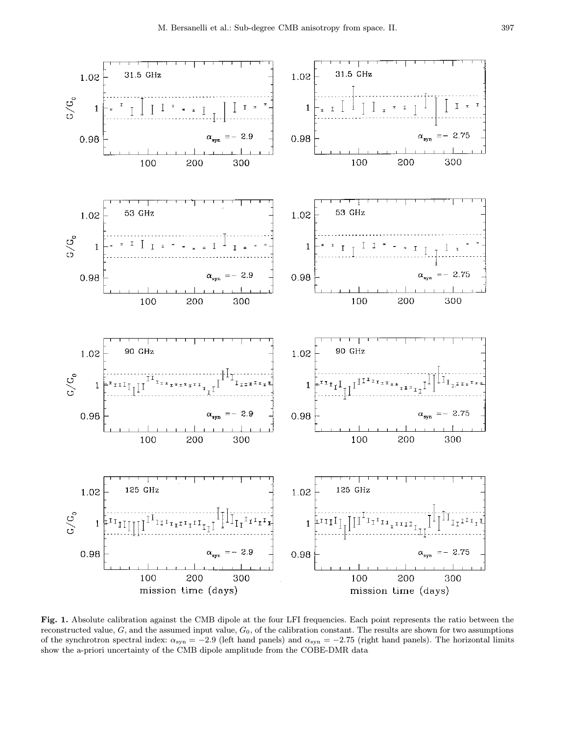

Fig. 1. Absolute calibration against the CMB dipole at the four LFI frequencies. Each point represents the ratio between the reconstructed value,  $G$ , and the assumed input value,  $G_0$ , of the calibration constant. The results are shown for two assumptions of the synchrotron spectral index:  $\alpha_{syn} = -2.9$  (left hand panels) and  $\alpha_{syn} = -2.75$  (right hand panels). The horizontal limits show the a-priori uncertainty of the CMB dipole amplitude from the COBE-DMR data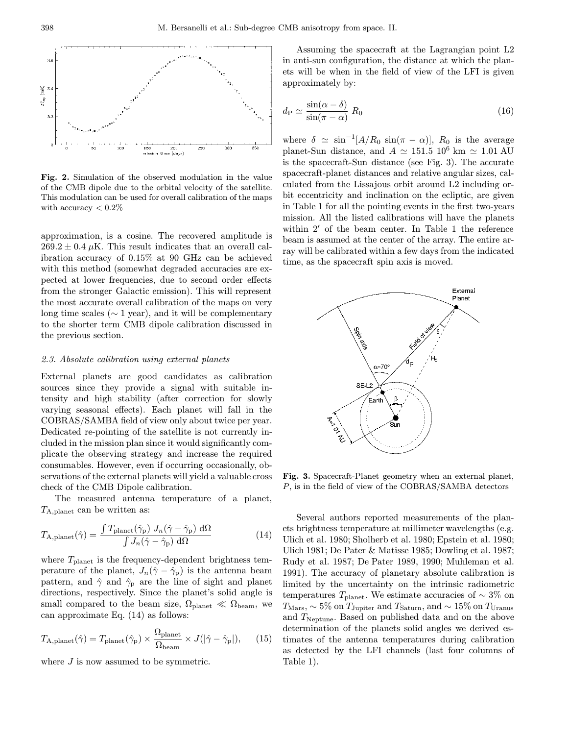

Fig. 2. Simulation of the observed modulation in the value of the CMB dipole due to the orbital velocity of the satellite. This modulation can be used for overall calibration of the maps with accuracy  $< 0.2\%$ 

approximation, is a cosine. The recovered amplitude is  $269.2 \pm 0.4 \,\mu K$ . This result indicates that an overall calibration accuracy of 0.15% at 90 GHz can be achieved with this method (somewhat degraded accuracies are expected at lower frequencies, due to second order effects from the stronger Galactic emission). This will represent the most accurate overall calibration of the maps on very long time scales ( $\sim$  1 year), and it will be complementary to the shorter term CMB dipole calibration discussed in the previous section.

# 2.3. Absolute calibration using external planets

External planets are good candidates as calibration sources since they provide a signal with suitable intensity and high stability (after correction for slowly varying seasonal effects). Each planet will fall in the COBRAS/SAMBA field of view only about twice per year. Dedicated re-pointing of the satellite is not currently included in the mission plan since it would significantly complicate the observing strategy and increase the required consumables. However, even if occurring occasionally, observations of the external planets will yield a valuable cross check of the CMB Dipole calibration.

The measured antenna temperature of a planet,  $T_{A,\text{planet}}$  can be written as:

$$
T_{\rm A,planet}(\hat{\gamma}) = \frac{\int T_{\rm planet}(\hat{\gamma}_{\rm p}) J_n(\hat{\gamma} - \hat{\gamma}_{\rm p}) \, \mathrm{d}\Omega}{\int J_n(\hat{\gamma} - \hat{\gamma}_{\rm p}) \, \mathrm{d}\Omega} \tag{14}
$$

where  $T_{\text{planet}}$  is the frequency-dependent brightness temperature of the planet,  $J_n(\hat{\gamma}-\hat{\gamma}_p)$  is the antenna beam pattern, and  $\hat{\gamma}$  and  $\hat{\gamma}_\mathrm{p}$  are the line of sight and planet directions, respectively. Since the planet's solid angle is small compared to the beam size,  $\Omega_{\text{planet}} \ll \Omega_{\text{beam}}$ , we can approximate Eq. (14) as follows:

$$
T_{\text{A,planet}}(\hat{\gamma}) = T_{\text{planet}}(\hat{\gamma}_{\text{p}}) \times \frac{\Omega_{\text{planet}}}{\Omega_{\text{beam}}} \times J(|\hat{\gamma} - \hat{\gamma}_{\text{p}}|), \quad (15)
$$

where  $J$  is now assumed to be symmetric.

Assuming the spacecraft at the Lagrangian point L2 in anti-sun configuration, the distance at which the planets will be when in the field of view of the LFI is given approximately by:

$$
d_{\rm P} \simeq \frac{\sin(\alpha - \delta)}{\sin(\pi - \alpha)} R_0 \tag{16}
$$

where  $\delta \simeq \sin^{-1}[A/R_0 \sin(\pi - \alpha)], R_0$  is the average planet-Sun distance, and  $A \simeq 151.5 \; 10^6 \; \mathrm{km} \simeq 1.01 \; \mathrm{AU}$ is the spacecraft-Sun distance (see Fig. 3). The accurate spacecraft-planet distances and relative angular sizes, calculated from the Lissajous orbit around L2 including orbit eccentricity and inclination on the ecliptic, are given in Table 1 for all the pointing events in the first two-years mission. All the listed calibrations will have the planets within  $2'$  of the beam center. In Table 1 the reference beam is assumed at the center of the array. The entire array will be calibrated within a few days from the indicated time, as the spacecraft spin axis is moved.



Fig. 3. Spacecraft-Planet geometry when an external planet, P, is in the field of view of the COBRAS/SAMBA detectors

Several authors reported measurements of the planets brightness temperature at millimeter wavelengths (e.g. Ulich et al. 1980; Sholherb et al. 1980; Epstein et al. 1980; Ulich 1981; De Pater & Matisse 1985; Dowling et al. 1987; Rudy et al. 1987; De Pater 1989, 1990; Muhleman et al. 1991). The accuracy of planetary absolute calibration is limited by the uncertainty on the intrinsic radiometric temperatures  $T_{\text{planet}}$ . We estimate accuracies of ~ 3% on  $T_{\rm Mars}, \sim 5\%$  on  $T_{\rm Jupiter}$  and  $T_{\rm Saturn},$  and  $\sim 15\%$  on  $T_{\rm Uranus}$ and  $T_{\text{Neptune}}$ . Based on published data and on the above determination of the planets solid angles we derived estimates of the antenna temperatures during calibration as detected by the LFI channels (last four columns of Table 1).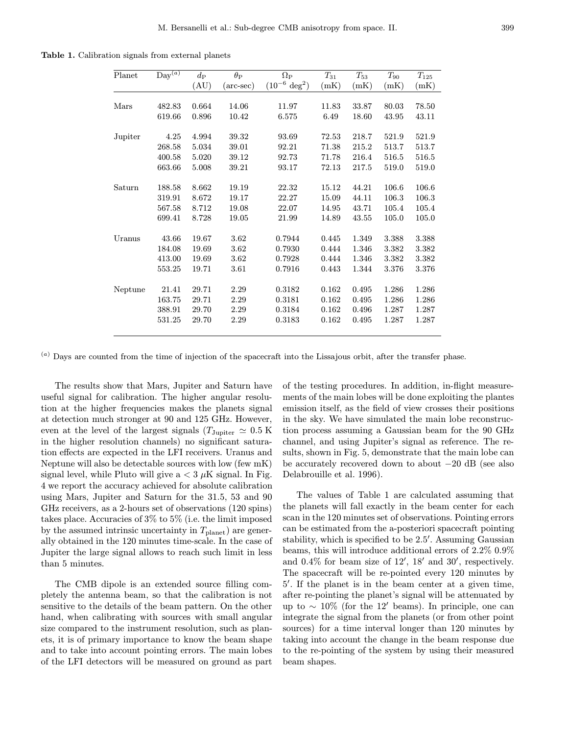Table 1. Calibration signals from external planets

| Planet  | $\mathrm{Day}^{\overline{(a)}}$ | $d_{\rm P}$ | $\theta_{\rm P}$   | $\Omega_{\rm P}$          | $T_{31}$ | $T_{53}$ | $T_{90}$ | $T_{125}$ |
|---------|---------------------------------|-------------|--------------------|---------------------------|----------|----------|----------|-----------|
|         |                                 | (AU)        | $(\text{arc-sec})$ | $(10^{-6} \text{ deg}^2)$ | (mK)     | (mK)     | (mK)     | (mK)      |
|         |                                 |             |                    |                           |          |          |          |           |
| Mars    | 482.83                          | 0.664       | 14.06              | 11.97                     | 11.83    | 33.87    | 80.03    | 78.50     |
|         | 619.66                          | 0.896       | 10.42              | 6.575                     | 6.49     | 18.60    | 43.95    | 43.11     |
| Jupiter | 4.25                            | 4.994       | 39.32              | 93.69                     | 72.53    | 218.7    | 521.9    | 521.9     |
|         | 268.58                          | 5.034       | 39.01              | 92.21                     | 71.38    | 215.2    | 513.7    | 513.7     |
|         | 400.58                          | 5.020       | 39.12              | 92.73                     | 71.78    | 216.4    | 516.5    | 516.5     |
|         | 663.66                          | 5.008       | 39.21              | 93.17                     | 72.13    | 217.5    | 519.0    | 519.0     |
|         |                                 |             |                    |                           |          |          |          |           |
| Saturn  | 188.58                          | 8.662       | 19.19              | 22.32                     | 15.12    | 44.21    | 106.6    | 106.6     |
|         | 319.91                          | 8.672       | 19.17              | 22.27                     | 15.09    | 44.11    | 106.3    | 106.3     |
|         | 567.58                          | 8.712       | 19.08              | 22.07                     | 14.95    | 43.71    | 105.4    | 105.4     |
|         | 699.41                          | 8.728       | 19.05              | 21.99                     | 14.89    | 43.55    | 105.0    | 105.0     |
| Uranus  | 43.66                           | 19.67       | 3.62               | 0.7944                    | 0.445    | 1.349    | 3.388    | 3.388     |
|         | 184.08                          | 19.69       | 3.62               | 0.7930                    | 0.444    | 1.346    | 3.382    | 3.382     |
|         | 413.00                          | 19.69       | 3.62               | 0.7928                    | 0.444    | 1.346    | 3.382    | 3.382     |
|         | 553.25                          | 19.71       | 3.61               | 0.7916                    | 0.443    | 1.344    | 3.376    | 3.376     |
|         |                                 |             |                    |                           |          |          |          |           |
| Neptune | 21.41                           | 29.71       | 2.29               | 0.3182                    | 0.162    | 0.495    | 1.286    | 1.286     |
|         | 163.75                          | 29.71       | 2.29               | 0.3181                    | 0.162    | 0.495    | 1.286    | 1.286     |
|         | 388.91                          | 29.70       | 2.29               | 0.3184                    | 0.162    | 0.496    | 1.287    | 1.287     |
|         | 531.25                          | 29.70       | 2.29               | 0.3183                    | 0.162    | 0.495    | 1.287    | 1.287     |

 $(a)$  Days are counted from the time of injection of the spacecraft into the Lissajous orbit, after the transfer phase.

The results show that Mars, Jupiter and Saturn have useful signal for calibration. The higher angular resolution at the higher frequencies makes the planets signal at detection much stronger at 90 and 125 GHz. However, even at the level of the largest signals  $(T_{\text{Jupiter}} \simeq 0.5 \text{ K})$ in the higher resolution channels) no significant saturation effects are expected in the LFI receivers. Uranus and Neptune will also be detectable sources with low (few mK) signal level, while Pluto will give  $a < 3 \mu K$  signal. In Fig. 4 we report the accuracy achieved for absolute calibration using Mars, Jupiter and Saturn for the 31.5, 53 and 90 GHz receivers, as a 2-hours set of observations (120 spins) takes place. Accuracies of 3% to 5% (i.e. the limit imposed by the assumed intrinsic uncertainty in  $T_{\text{planet}}$ ) are generally obtained in the 120 minutes time-scale. In the case of Jupiter the large signal allows to reach such limit in less than 5 minutes.

The CMB dipole is an extended source filling completely the antenna beam, so that the calibration is not sensitive to the details of the beam pattern. On the other hand, when calibrating with sources with small angular size compared to the instrument resolution, such as planets, it is of primary importance to know the beam shape and to take into account pointing errors. The main lobes of the LFI detectors will be measured on ground as part of the testing procedures. In addition, in-flight measurements of the main lobes will be done exploiting the plantes emission itself, as the field of view crosses their positions in the sky. We have simulated the main lobe reconstruction process assuming a Gaussian beam for the 90 GHz channel, and using Jupiter's signal as reference. The results, shown in Fig. 5, demonstrate that the main lobe can be accurately recovered down to about −20 dB (see also Delabrouille et al. 1996).

The values of Table 1 are calculated assuming that the planets will fall exactly in the beam center for each scan in the 120 minutes set of observations. Pointing errors can be estimated from the a-posteriori spacecraft pointing stability, which is specified to be 2.5'. Assuming Gaussian beams, this will introduce additional errors of 2.2% 0.9% and  $0.4\%$  for beam size of  $12'$ ,  $18'$  and  $30'$ , respectively. The spacecraft will be re-pointed every 120 minutes by 5'. If the planet is in the beam center at a given time, after re-pointing the planet's signal will be attenuated by up to  $\sim 10\%$  (for the 12' beams). In principle, one can integrate the signal from the planets (or from other point sources) for a time interval longer than 120 minutes by taking into account the change in the beam response due to the re-pointing of the system by using their measured beam shapes.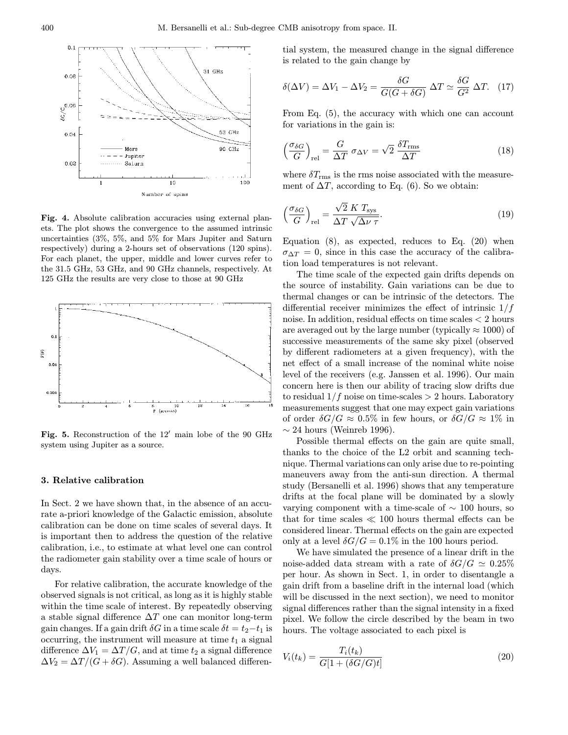

Fig. 4. Absolute calibration accuracies using external planets. The plot shows the convergence to the assumed intrinsic uncertainties (3%, 5%, and 5% for Mars Jupiter and Saturn respectively) during a 2-hours set of observations (120 spins). For each planet, the upper, middle and lower curves refer to the 31.5 GHz, 53 GHz, and 90 GHz channels, respectively. At 125 GHz the results are very close to those at 90 GHz



Fig. 5. Reconstruction of the  $12'$  main lobe of the 90 GHz system using Jupiter as a source.

# 3. Relative calibration

In Sect. 2 we have shown that, in the absence of an accurate a-priori knowledge of the Galactic emission, absolute calibration can be done on time scales of several days. It is important then to address the question of the relative calibration, i.e., to estimate at what level one can control the radiometer gain stability over a time scale of hours or days.

For relative calibration, the accurate knowledge of the observed signals is not critical, as long as it is highly stable within the time scale of interest. By repeatedly observing a stable signal difference  $\Delta T$  one can monitor long-term gain changes. If a gain drift  $\delta G$  in a time scale  $\delta t = t_2 - t_1$  is occurring, the instrument will measure at time  $t_1$  a signal difference  $\Delta V_1 = \Delta T/G$ , and at time  $t_2$  a signal difference  $\Delta V_2 = \Delta T / (G + \delta G)$ . Assuming a well balanced differen-

tial system, the measured change in the signal difference is related to the gain change by

$$
\delta(\Delta V) = \Delta V_1 - \Delta V_2 = \frac{\delta G}{G(G + \delta G)} \Delta T \simeq \frac{\delta G}{G^2} \Delta T. \tag{17}
$$

From Eq. (5), the accuracy with which one can account for variations in the gain is:

$$
\left(\frac{\sigma_{\delta G}}{G}\right)_{\text{rel}} = \frac{G}{\Delta T} \sigma_{\Delta V} = \sqrt{2} \frac{\delta T_{\text{rms}}}{\Delta T}
$$
\n(18)

where  $\delta T_{\rm rms}$  is the rms noise associated with the measurement of  $\Delta T$ , according to Eq. (6). So we obtain:

$$
\left(\frac{\sigma_{\delta G}}{G}\right)_{\text{rel}} = \frac{\sqrt{2} \ K \ T_{\text{sys}}}{\Delta T \ \sqrt{\Delta \nu \ \tau}}.\tag{19}
$$

Equation  $(8)$ , as expected, reduces to Eq.  $(20)$  when  $\sigma_{\Delta T} = 0$ , since in this case the accuracy of the calibration load temperatures is not relevant.

The time scale of the expected gain drifts depends on the source of instability. Gain variations can be due to thermal changes or can be intrinsic of the detectors. The differential receiver minimizes the effect of intrinsic  $1/f$ noise. In addition, residual effects on time scales < 2 hours are averaged out by the large number (typically  $\approx 1000$ ) of successive measurements of the same sky pixel (observed by different radiometers at a given frequency), with the net effect of a small increase of the nominal white noise level of the receivers (e.g. Janssen et al. 1996). Our main concern here is then our ability of tracing slow drifts due to residual  $1/f$  noise on time-scales  $> 2$  hours. Laboratory measurements suggest that one may expect gain variations of order  $\delta G/G \approx 0.5\%$  in few hours, or  $\delta G/G \approx 1\%$  in  $\sim$  24 hours (Weinreb 1996).

Possible thermal effects on the gain are quite small, thanks to the choice of the L2 orbit and scanning technique. Thermal variations can only arise due to re-pointing maneuvers away from the anti-sun direction. A thermal study (Bersanelli et al. 1996) shows that any temperature drifts at the focal plane will be dominated by a slowly varying component with a time-scale of  $\sim$  100 hours, so that for time scales  $\ll 100$  hours thermal effects can be considered linear. Thermal effects on the gain are expected only at a level  $\delta G/G = 0.1\%$  in the 100 hours period.

We have simulated the presence of a linear drift in the noise-added data stream with a rate of  $\delta G/G \simeq 0.25\%$ per hour. As shown in Sect. 1, in order to disentangle a gain drift from a baseline drift in the internal load (which will be discussed in the next section), we need to monitor signal differences rather than the signal intensity in a fixed pixel. We follow the circle described by the beam in two hours. The voltage associated to each pixel is

$$
V_i(t_k) = \frac{T_i(t_k)}{G[1 + (\delta G/G)t]}
$$
\n
$$
(20)
$$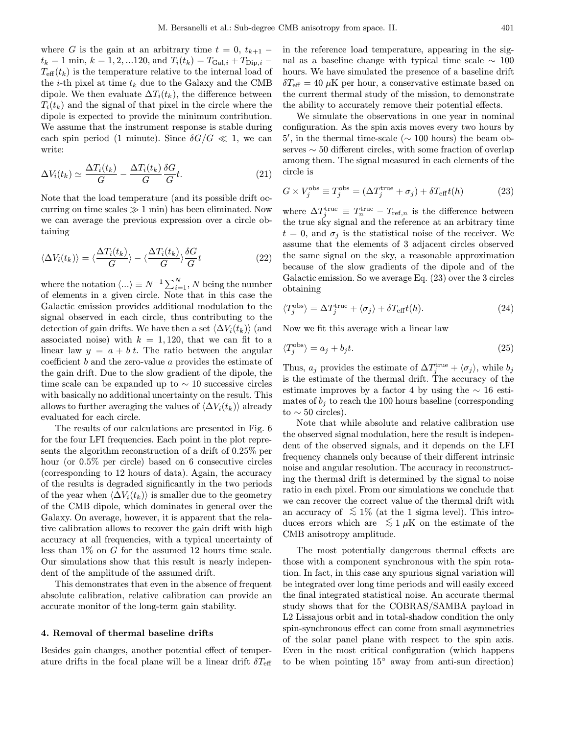where G is the gain at an arbitrary time  $t = 0$ ,  $t_{k+1}$  –  $t_k = 1$  min,  $k = 1, 2, ... 120$ , and  $T_i(t_k) = T_{\text{Gal},i} + T_{\text{Dip},i}$  $T_{\text{eff}}(t_k)$  is the temperature relative to the internal load of the *i*-th pixel at time  $t_k$  due to the Galaxy and the CMB dipole. We then evaluate  $\Delta T_i(t_k)$ , the difference between  $T_i(t_k)$  and the signal of that pixel in the circle where the dipole is expected to provide the minimum contribution. We assume that the instrument response is stable during each spin period (1 minute). Since  $\delta G/G \ll 1$ , we can write:

$$
\Delta V_i(t_k) \simeq \frac{\Delta T_i(t_k)}{G} - \frac{\Delta T_i(t_k)}{G} \frac{\delta G}{G} t. \tag{21}
$$

Note that the load temperature (and its possible drift occurring on time scales  $\gg 1$  min) has been eliminated. Now we can average the previous expression over a circle obtaining

$$
\langle \Delta V_i(t_k) \rangle = \langle \frac{\Delta T_i(t_k)}{G} \rangle - \langle \frac{\Delta T_i(t_k)}{G} \rangle \frac{\delta G}{G} t \tag{22}
$$

where the notation  $\langle ...\rangle \equiv N^{-1} \sum_{i=1}^N N$  being the number of elements in a given circle. Note that in this case the Galactic emission provides additional modulation to the signal observed in each circle, thus contributing to the detection of gain drifts. We have then a set  $\langle \Delta V_i(t_k) \rangle$  (and associated noise) with  $k = 1,120$ , that we can fit to a linear law  $y = a + b t$ . The ratio between the angular coefficient b and the zero-value a provides the estimate of the gain drift. Due to the slow gradient of the dipole, the time scale can be expanded up to  $\sim$  10 successive circles with basically no additional uncertainty on the result. This allows to further averaging the values of  $\langle \Delta V_i(t_k)\rangle$  already evaluated for each circle.

The results of our calculations are presented in Fig. 6 for the four LFI frequencies. Each point in the plot represents the algorithm reconstruction of a drift of 0.25% per hour (or  $0.5\%$  per circle) based on 6 consecutive circles (corresponding to 12 hours of data). Again, the accuracy of the results is degraded significantly in the two periods of the year when  $\langle \Delta V_i(t_k)\rangle$  is smaller due to the geometry of the CMB dipole, which dominates in general over the Galaxy. On average, however, it is apparent that the relative calibration allows to recover the gain drift with high accuracy at all frequencies, with a typical uncertainty of less than 1% on G for the assumed 12 hours time scale. Our simulations show that this result is nearly independent of the amplitude of the assumed drift.

This demonstrates that even in the absence of frequent absolute calibration, relative calibration can provide an accurate monitor of the long-term gain stability.

# 4. Removal of thermal baseline drifts

Besides gain changes, another potential effect of temperature drifts in the focal plane will be a linear drift  $\delta T_{\text{eff}}$ 

in the reference load temperature, appearing in the signal as a baseline change with typical time scale  $\sim 100$ hours. We have simulated the presence of a baseline drift  $\delta T_{\text{eff}} = 40 \,\mu\text{K}$  per hour, a conservative estimate based on the current thermal study of the mission, to demonstrate the ability to accurately remove their potential effects.

We simulate the observations in one year in nominal configuration. As the spin axis moves every two hours by  $5'$ , in the thermal time-scale ( $\sim 100$  hours) the beam observes ∼ 50 different circles, with some fraction of overlap among them. The signal measured in each elements of the circle is

$$
G \times V_j^{\text{obs}} \equiv T_j^{\text{obs}} = (\Delta T_j^{\text{true}} + \sigma_j) + \delta T_{\text{eff}} t(h) \tag{23}
$$

where  $\Delta T_j^{\text{true}} \equiv T_n^{\text{true}} - T_{\text{ref},n}$  is the difference between the true sky signal and the reference at an arbitrary time  $t = 0$ , and  $\sigma_i$  is the statistical noise of the receiver. We assume that the elements of 3 adjacent circles observed the same signal on the sky, a reasonable approximation because of the slow gradients of the dipole and of the Galactic emission. So we average Eq. (23) over the 3 circles obtaining

$$
\langle T_j^{\text{obs}} \rangle = \Delta T_j^{\text{true}} + \langle \sigma_j \rangle + \delta T_{\text{eff}} t(h). \tag{24}
$$

Now we fit this average with a linear law

$$
\langle T_j^{\text{obs}} \rangle = a_j + b_j t. \tag{25}
$$

Thus,  $a_j$  provides the estimate of  $\Delta T_j^{\text{true}} + \langle \sigma_j \rangle$ , while  $b_j$ is the estimate of the thermal drift. The accuracy of the estimate improves by a factor 4 by using the  $\sim 16$  estimates of  $b_i$  to reach the 100 hours baseline (corresponding to  $\sim$  50 circles).

Note that while absolute and relative calibration use the observed signal modulation, here the result is independent of the observed signals, and it depends on the LFI frequency channels only because of their different intrinsic noise and angular resolution. The accuracy in reconstructing the thermal drift is determined by the signal to noise ratio in each pixel. From our simulations we conclude that we can recover the correct value of the thermal drift with an accuracy of  $\lesssim 1\%$  (at the 1 sigma level). This introduces errors which are  $\leq 1 \mu K$  on the estimate of the CMB anisotropy amplitude.

The most potentially dangerous thermal effects are those with a component synchronous with the spin rotation. In fact, in this case any spurious signal variation will be integrated over long time periods and will easily exceed the final integrated statistical noise. An accurate thermal study shows that for the COBRAS/SAMBA payload in L2 Lissajous orbit and in total-shadow condition the only spin-synchronous effect can come from small asymmetries of the solar panel plane with respect to the spin axis. Even in the most critical configuration (which happens to be when pointing  $15<sup>°</sup>$  away from anti-sun direction)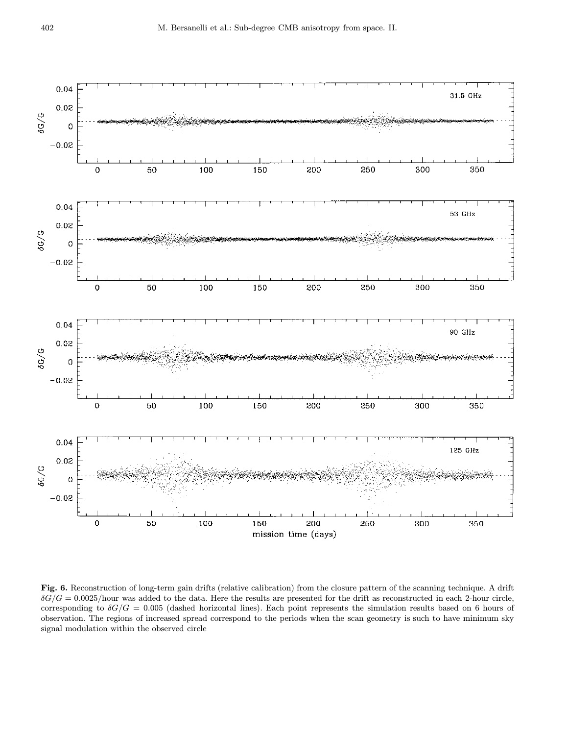

Fig. 6. Reconstruction of long-term gain drifts (relative calibration) from the closure pattern of the scanning technique. A drift  $\delta G/G = 0.0025/\text{hour}$  was added to the data. Here the results are presented for the drift as reconstructed in each 2-hour circle, corresponding to  $\delta G/G = 0.005$  (dashed horizontal lines). Each point represents the simulation results based on 6 hours of observation. The regions of increased spread correspond to the periods when the scan geometry is such to have minimum sky signal modulation within the observed circle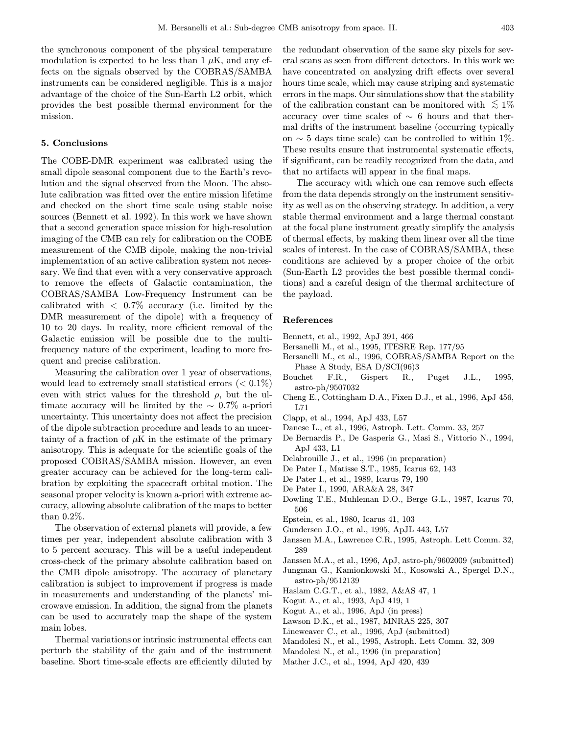the synchronous component of the physical temperature modulation is expected to be less than  $1 \mu$ K, and any effects on the signals observed by the COBRAS/SAMBA instruments can be considered negligible. This is a major advantage of the choice of the Sun-Earth L2 orbit, which provides the best possible thermal environment for the mission.

### 5. Conclusions

The COBE-DMR experiment was calibrated using the small dipole seasonal component due to the Earth's revolution and the signal observed from the Moon. The absolute calibration was fitted over the entire mission lifetime and checked on the short time scale using stable noise sources (Bennett et al. 1992). In this work we have shown that a second generation space mission for high-resolution imaging of the CMB can rely for calibration on the COBE measurement of the CMB dipole, making the non-trivial implementation of an active calibration system not necessary. We find that even with a very conservative approach to remove the effects of Galactic contamination, the COBRAS/SAMBA Low-Frequency Instrument can be calibrated with  $\langle 0.7\%$  accuracy (i.e. limited by the DMR measurement of the dipole) with a frequency of 10 to 20 days. In reality, more efficient removal of the Galactic emission will be possible due to the multifrequency nature of the experiment, leading to more frequent and precise calibration.

Measuring the calibration over 1 year of observations, would lead to extremely small statistical errors  $(< 0.1\%)$ even with strict values for the threshold  $\rho$ , but the ultimate accuracy will be limited by the  $\sim 0.7\%$  a-priori uncertainty. This uncertainty does not affect the precision of the dipole subtraction procedure and leads to an uncertainty of a fraction of  $\mu$ K in the estimate of the primary anisotropy. This is adequate for the scientific goals of the proposed COBRAS/SAMBA mission. However, an even greater accuracy can be achieved for the long-term calibration by exploiting the spacecraft orbital motion. The seasonal proper velocity is known a-priori with extreme accuracy, allowing absolute calibration of the maps to better than 0.2%.

The observation of external planets will provide, a few times per year, independent absolute calibration with 3 to 5 percent accuracy. This will be a useful independent cross-check of the primary absolute calibration based on the CMB dipole anisotropy. The accuracy of planetary calibration is subject to improvement if progress is made in measurements and understanding of the planets' microwave emission. In addition, the signal from the planets can be used to accurately map the shape of the system main lobes.

Thermal variations or intrinsic instrumental effects can perturb the stability of the gain and of the instrument baseline. Short time-scale effects are efficiently diluted by

the redundant observation of the same sky pixels for several scans as seen from different detectors. In this work we have concentrated on analyzing drift effects over several hours time scale, which may cause striping and systematic errors in the maps. Our simulations show that the stability of the calibration constant can be monitored with  $\lesssim 1\%$ accuracy over time scales of  $\sim 6$  hours and that thermal drifts of the instrument baseline (occurring typically on  $\sim$  5 days time scale) can be controlled to within 1%. These results ensure that instrumental systematic effects, if significant, can be readily recognized from the data, and that no artifacts will appear in the final maps.

The accuracy with which one can remove such effects from the data depends strongly on the instrument sensitivity as well as on the observing strategy. In addition, a very stable thermal environment and a large thermal constant at the focal plane instrument greatly simplify the analysis of thermal effects, by making them linear over all the time scales of interest. In the case of COBRAS/SAMBA, these conditions are achieved by a proper choice of the orbit (Sun-Earth L2 provides the best possible thermal conditions) and a careful design of the thermal architecture of the payload.

## References

- Bennett, et al., 1992, ApJ 391, 466
- Bersanelli M., et al., 1995, ITESRE Rep. 177/95
- Bersanelli M., et al., 1996, COBRAS/SAMBA Report on the Phase A Study, ESA D/SCI(96)3
- Bouchet F.R., Gispert R., Puget J.L., 1995, astro-ph/9507032
- Cheng E., Cottingham D.A., Fixen D.J., et al., 1996, ApJ 456, L71
- Clapp, et al., 1994, ApJ 433, L57
- Danese L., et al., 1996, Astroph. Lett. Comm. 33, 257
- De Bernardis P., De Gasperis G., Masi S., Vittorio N., 1994, ApJ 433, L1
- Delabrouille J., et al., 1996 (in preparation)
- De Pater I., Matisse S.T., 1985, Icarus 62, 143
- De Pater I., et al., 1989, Icarus 79, 190
- De Pater I., 1990, ARA&A 28, 347
- Dowling T.E., Muhleman D.O., Berge G.L., 1987, Icarus 70, 506
- Epstein, et al., 1980, Icarus 41, 103
- Gundersen J.O., et al., 1995, ApJL 443, L57
- Janssen M.A., Lawrence C.R., 1995, Astroph. Lett Comm. 32, 289
- Janssen M.A., et al., 1996, ApJ, astro-ph/9602009 (submitted)
- Jungman G., Kamionkowski M., Kosowski A., Spergel D.N., astro-ph/9512139
- Haslam C.G.T., et al., 1982, A&AS 47, 1
- Kogut A., et al., 1993, ApJ 419, 1
- Kogut A., et al., 1996, ApJ (in press)
- Lawson D.K., et al., 1987, MNRAS 225, 307
- Lineweaver C., et al., 1996, ApJ (submitted)
- Mandolesi N., et al., 1995, Astroph. Lett Comm. 32, 309
- Mandolesi N., et al., 1996 (in preparation)
- Mather J.C., et al., 1994, ApJ 420, 439